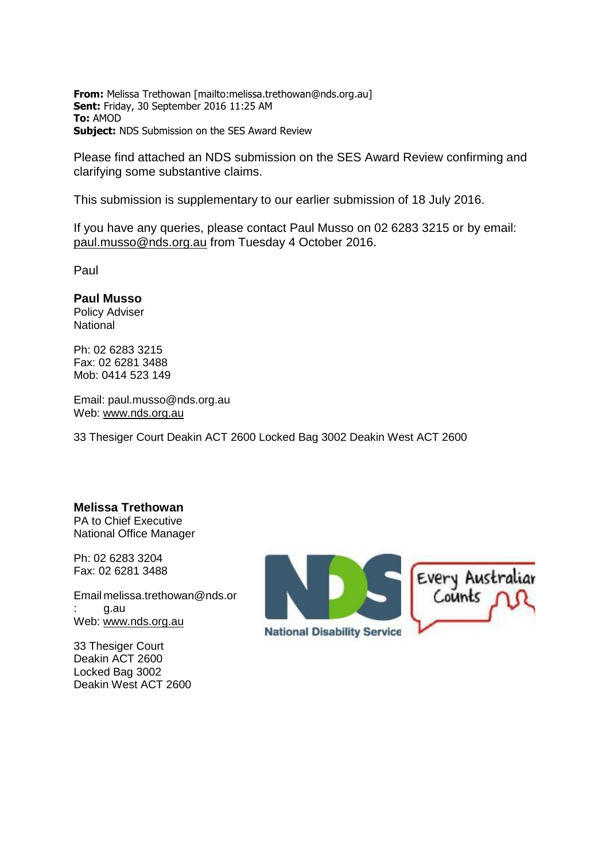**From:** Melissa Trethowan [mailto:melissa.trethowan@nds.org.au] **Sent:** Friday, 30 September 2016 11:25 AM **To:** AMOD **Subject:** NDS Submission on the SES Award Review

Please find attached an NDS submission on the SES Award Review confirming and clarifying some substantive claims.

This submission is supplementary to our earlier submission of 18 July 2016.

If you have any queries, please contact Paul Musso on 02 6283 3215 or by email: [paul.musso@nds.org.au](mailto:paul.musso@nds.org.au) from Tuesday 4 October 2016.

Paul

### **Paul Musso**

Policy Adviser **National** 

Ph: 02 [6283](tel:02%206283%203215) 3215 Fax: 02 [6281](tel:02%206281%203488) 3488 Mob: [0414](tel:0414%20523%20149) 523 149

Email: [paul.musso@nds.org.au](mailto:paul.musso@nds.org.au) Web: [www.nds.org.au](http://www.nds.org.au/)

33 Thesiger Court Deakin ACT 2600 Locked Bag 3002 Deakin West ACT 2600

### **Melissa Trethowan**

PA to Chief Executive National Office Manager

Ph: 02 [6283](tel:02%206283%203204) 3204 Fax: 02 [6281](tel:02%206281%203488) 3488

Email [melissa.trethowan@nds.or](mailto:melissa.trethowan@nds.org.au) : [g.au](mailto:melissa.trethowan@nds.org.au) Web: [www.nds.org.au](http://www.nds.org.au/)

33 Thesiger Court Deakin ACT 2600 Locked Bag 3002 Deakin West ACT 2600

Every Australian<br>Counts  $\bigcap$   $\Omega$ **National Disability Service**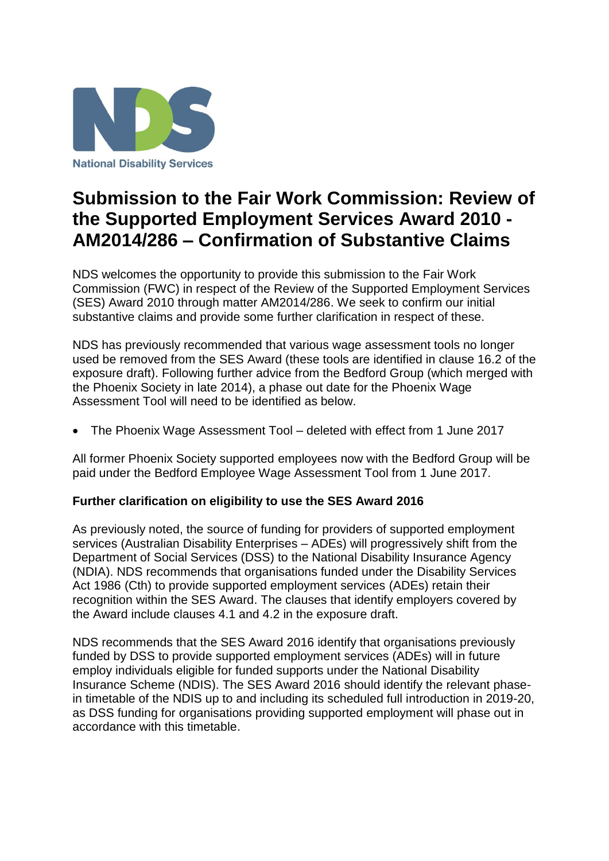

# **Submission to the Fair Work Commission: Review of the Supported Employment Services Award 2010 - AM2014/286 – Confirmation of Substantive Claims**

NDS welcomes the opportunity to provide this submission to the Fair Work Commission (FWC) in respect of the Review of the Supported Employment Services (SES) Award 2010 through matter AM2014/286. We seek to confirm our initial substantive claims and provide some further clarification in respect of these.

NDS has previously recommended that various wage assessment tools no longer used be removed from the SES Award (these tools are identified in clause 16.2 of the exposure draft). Following further advice from the Bedford Group (which merged with the Phoenix Society in late 2014), a phase out date for the Phoenix Wage Assessment Tool will need to be identified as below.

The Phoenix Wage Assessment Tool – deleted with effect from 1 June 2017

All former Phoenix Society supported employees now with the Bedford Group will be paid under the Bedford Employee Wage Assessment Tool from 1 June 2017.

## **Further clarification on eligibility to use the SES Award 2016**

As previously noted, the source of funding for providers of supported employment services (Australian Disability Enterprises – ADEs) will progressively shift from the Department of Social Services (DSS) to the National Disability Insurance Agency (NDIA). NDS recommends that organisations funded under the Disability Services Act 1986 (Cth) to provide supported employment services (ADEs) retain their recognition within the SES Award. The clauses that identify employers covered by the Award include clauses 4.1 and 4.2 in the exposure draft.

NDS recommends that the SES Award 2016 identify that organisations previously funded by DSS to provide supported employment services (ADEs) will in future employ individuals eligible for funded supports under the National Disability Insurance Scheme (NDIS). The SES Award 2016 should identify the relevant phasein timetable of the NDIS up to and including its scheduled full introduction in 2019-20, as DSS funding for organisations providing supported employment will phase out in accordance with this timetable.